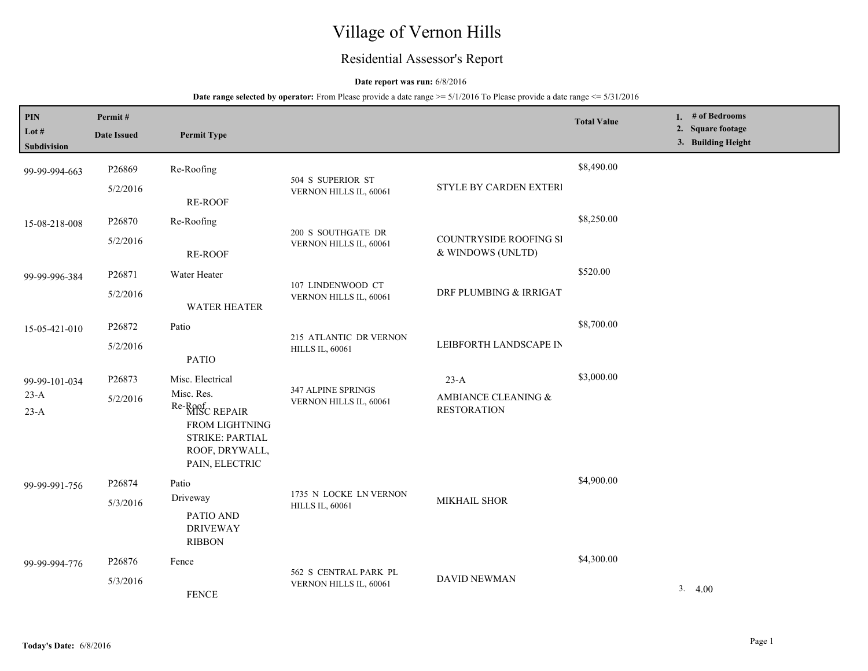# Village of Vernon Hills

## Residential Assessor's Report

### **Date report was run:** 6/8/2016

| PIN<br>Lot #<br>Subdivision | Permit#<br><b>Date Issued</b> | <b>Permit Type</b>                                                                                                                                                          |                                                  |                                             | <b>Total Value</b> | 1. $#$ of Bedrooms<br>2. Square footage<br>3. Building Height |
|-----------------------------|-------------------------------|-----------------------------------------------------------------------------------------------------------------------------------------------------------------------------|--------------------------------------------------|---------------------------------------------|--------------------|---------------------------------------------------------------|
| 99-99-994-663               | P26869                        | Re-Roofing                                                                                                                                                                  |                                                  |                                             | \$8,490.00         |                                                               |
|                             | 5/2/2016                      | RE-ROOF                                                                                                                                                                     | 504 S SUPERIOR ST<br>VERNON HILLS IL, 60061      | STYLE BY CARDEN EXTERI                      |                    |                                                               |
| 15-08-218-008               | P26870<br>Re-Roofing          | 200 S SOUTHGATE DR                                                                                                                                                          |                                                  | \$8,250.00                                  |                    |                                                               |
|                             | 5/2/2016                      | <b>RE-ROOF</b>                                                                                                                                                              | VERNON HILLS IL, 60061                           | COUNTRYSIDE ROOFING SI<br>& WINDOWS (UNLTD) |                    |                                                               |
| 99-99-996-384               | P26871                        | Water Heater                                                                                                                                                                | 107 LINDENWOOD CT                                |                                             | \$520.00           |                                                               |
|                             | 5/2/2016                      | <b>WATER HEATER</b>                                                                                                                                                         | VERNON HILLS IL, 60061                           | DRF PLUMBING & IRRIGAT                      |                    |                                                               |
| 15-05-421-010               | P26872                        | Patio                                                                                                                                                                       |                                                  |                                             | \$8,700.00         |                                                               |
|                             | 5/2/2016                      | <b>PATIO</b>                                                                                                                                                                | 215 ATLANTIC DR VERNON<br><b>HILLS IL, 60061</b> | LEIBFORTH LANDSCAPE IN                      |                    |                                                               |
| 99-99-101-034               | P26873                        | Misc. Electrical                                                                                                                                                            |                                                  | $23-A$                                      | \$3,000.00         |                                                               |
| $23-A$<br>$23-A$            | 5/2/2016                      | 347 ALPINE SPRINGS<br>Misc. Res.<br>VERNON HILLS IL, 60061<br>Re-Roof<br>MISC REPAIR<br><b>FROM LIGHTNING</b><br><b>STRIKE: PARTIAL</b><br>ROOF, DRYWALL,<br>PAIN, ELECTRIC |                                                  | AMBIANCE CLEANING &<br><b>RESTORATION</b>   |                    |                                                               |
| 99-99-991-756               | P26874                        | Patio                                                                                                                                                                       |                                                  |                                             | \$4,900.00         |                                                               |
|                             | 5/3/2016                      | Driveway                                                                                                                                                                    | 1735 N LOCKE LN VERNON<br><b>HILLS IL, 60061</b> | MIKHAIL SHOR                                |                    |                                                               |
|                             |                               | PATIO AND<br><b>DRIVEWAY</b><br><b>RIBBON</b>                                                                                                                               |                                                  |                                             |                    |                                                               |
| 99-99-994-776               | P26876                        | Fence                                                                                                                                                                       |                                                  | <b>DAVID NEWMAN</b>                         | \$4,300.00         |                                                               |
|                             | 5/3/2016                      | <b>FENCE</b>                                                                                                                                                                | 562 S CENTRAL PARK PL<br>VERNON HILLS IL, 60061  |                                             |                    | 3.4.00                                                        |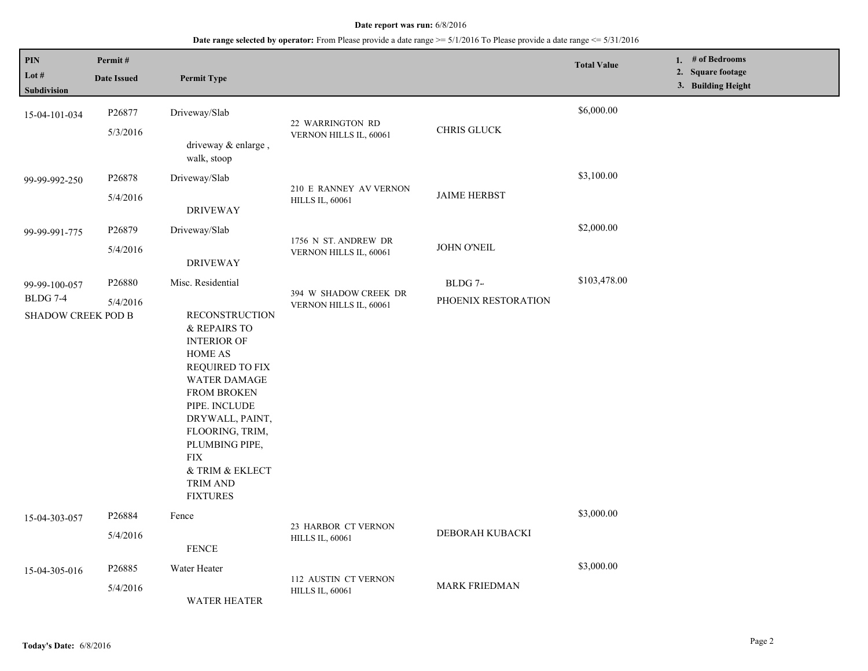| PIN<br>Lot #<br>Subdivision                            | Permit#<br><b>Date Issued</b>  | <b>Permit Type</b>                                                                                                                                                                                                                                                                                          |                                                  |                                | <b>Total Value</b> | 1. $#$ of Bedrooms<br>2. Square footage<br>3. Building Height |
|--------------------------------------------------------|--------------------------------|-------------------------------------------------------------------------------------------------------------------------------------------------------------------------------------------------------------------------------------------------------------------------------------------------------------|--------------------------------------------------|--------------------------------|--------------------|---------------------------------------------------------------|
| 15-04-101-034                                          | P26877<br>5/3/2016             | Driveway/Slab<br>driveway & enlarge,<br>walk, stoop                                                                                                                                                                                                                                                         | 22 WARRINGTON RD<br>VERNON HILLS IL, 60061       | CHRIS GLUCK                    | \$6,000.00         |                                                               |
| 99-99-992-250                                          | P26878<br>5/4/2016             | Driveway/Slab<br><b>DRIVEWAY</b>                                                                                                                                                                                                                                                                            | 210 E RANNEY AV VERNON<br><b>HILLS IL, 60061</b> | <b>JAIME HERBST</b>            | \$3,100.00         |                                                               |
| 99-99-991-775                                          | P26879<br>5/4/2016             | Driveway/Slab<br><b>DRIVEWAY</b>                                                                                                                                                                                                                                                                            | 1756 N ST. ANDREW DR<br>VERNON HILLS IL, 60061   | <b>JOHN O'NEIL</b>             | \$2,000.00         |                                                               |
| 99-99-100-057<br><b>BLDG 7-4</b><br>SHADOW CREEK POD B | P <sub>26880</sub><br>5/4/2016 | Misc. Residential<br><b>RECONSTRUCTION</b><br>& REPAIRS TO<br><b>INTERIOR OF</b><br>HOME AS<br>REQUIRED TO FIX<br><b>WATER DAMAGE</b><br><b>FROM BROKEN</b><br>PIPE. INCLUDE<br>DRYWALL, PAINT,<br>FLOORING, TRIM,<br>PLUMBING PIPE,<br><b>FIX</b><br>& TRIM & EKLECT<br><b>TRIM AND</b><br><b>FIXTURES</b> | 394 W SHADOW CREEK DR<br>VERNON HILLS IL, 60061  | BLDG 7-<br>PHOENIX RESTORATION | \$103,478.00       |                                                               |
| 15-04-303-057                                          | P26884<br>5/4/2016             | Fence<br><b>FENCE</b>                                                                                                                                                                                                                                                                                       | 23 HARBOR CT VERNON<br><b>HILLS IL, 60061</b>    | DEBORAH KUBACKI                | \$3,000.00         |                                                               |
| 15-04-305-016                                          | P26885<br>5/4/2016             | Water Heater<br><b>WATER HEATER</b>                                                                                                                                                                                                                                                                         | 112 AUSTIN CT VERNON<br><b>HILLS IL, 60061</b>   | <b>MARK FRIEDMAN</b>           | \$3,000.00         |                                                               |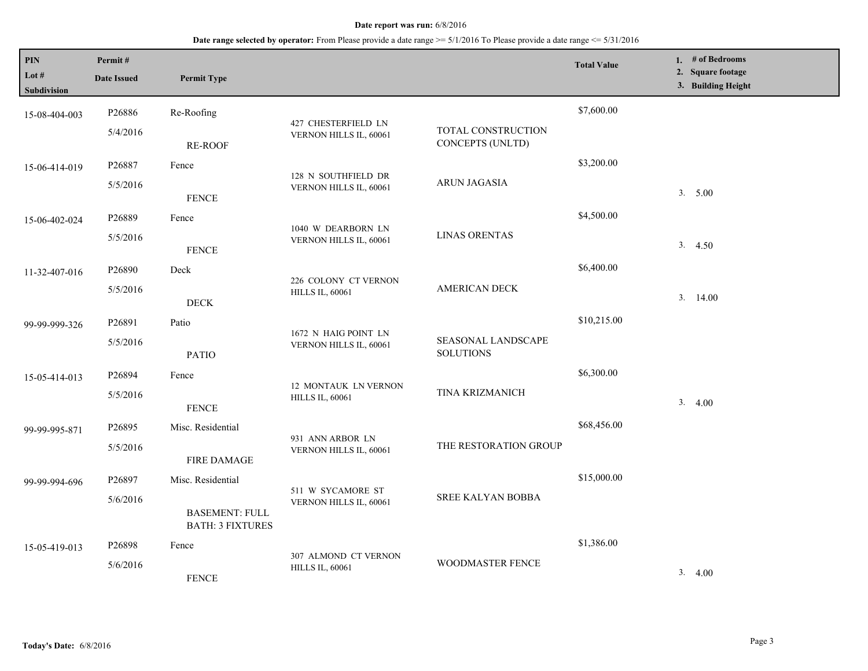| <b>PIN</b><br>Lot $#$<br><b>Subdivision</b> | Permit#<br><b>Date Issued</b> | <b>Permit Type</b>                               |                                                |                                        | <b>Total Value</b> | 1. # of Bedrooms<br>2. Square footage<br>3. Building Height |
|---------------------------------------------|-------------------------------|--------------------------------------------------|------------------------------------------------|----------------------------------------|--------------------|-------------------------------------------------------------|
| 15-08-404-003                               | P26886                        | Re-Roofing                                       | 427 CHESTERFIELD LN                            |                                        | \$7,600.00         |                                                             |
|                                             | 5/4/2016                      | <b>RE-ROOF</b>                                   | VERNON HILLS IL, 60061                         | TOTAL CONSTRUCTION<br>CONCEPTS (UNLTD) |                    |                                                             |
| 15-06-414-019                               | P26887                        | Fence                                            |                                                |                                        | \$3,200.00         |                                                             |
|                                             | 5/5/2016                      | <b>FENCE</b>                                     | 128 N SOUTHFIELD DR<br>VERNON HILLS IL, 60061  | <b>ARUN JAGASIA</b>                    |                    | 3. 5.00                                                     |
| 15-06-402-024                               | P26889                        | Fence                                            |                                                |                                        | \$4,500.00         |                                                             |
|                                             | 5/5/2016                      | <b>FENCE</b>                                     | 1040 W DEARBORN LN<br>VERNON HILLS IL, 60061   | <b>LINAS ORENTAS</b>                   |                    | 3.4.50                                                      |
| 11-32-407-016                               | P26890                        | Deck                                             |                                                |                                        | \$6,400.00         |                                                             |
|                                             | 5/5/2016                      | $\rm{DECK}$                                      | 226 COLONY CT VERNON<br><b>HILLS IL, 60061</b> | <b>AMERICAN DECK</b>                   |                    | 3.14.00                                                     |
| 99-99-999-326                               | P26891                        | Patio                                            |                                                |                                        | \$10,215.00        |                                                             |
|                                             | 5/5/2016                      | <b>PATIO</b>                                     | 1672 N HAIG POINT LN<br>VERNON HILLS IL, 60061 | SEASONAL LANDSCAPE<br><b>SOLUTIONS</b> |                    |                                                             |
| 15-05-414-013                               | P26894                        | Fence                                            |                                                |                                        | \$6,300.00         |                                                             |
|                                             | 5/5/2016                      | <b>FENCE</b>                                     | 12 MONTAUK LN VERNON<br><b>HILLS IL, 60061</b> | TINA KRIZMANICH                        |                    | 3.4.00                                                      |
| 99-99-995-871                               | P26895                        | Misc. Residential                                |                                                |                                        | \$68,456.00        |                                                             |
|                                             | 5/5/2016                      | <b>FIRE DAMAGE</b>                               | 931 ANN ARBOR LN<br>VERNON HILLS IL, 60061     | THE RESTORATION GROUP                  |                    |                                                             |
| 99-99-994-696                               | P26897                        | Misc. Residential                                |                                                |                                        | \$15,000.00        |                                                             |
|                                             | 5/6/2016                      | <b>BASEMENT: FULL</b><br><b>BATH: 3 FIXTURES</b> | 511 W SYCAMORE ST<br>VERNON HILLS IL, 60061    | <b>SREE KALYAN BOBBA</b>               |                    |                                                             |
| 15-05-419-013                               | P26898                        | Fence                                            |                                                |                                        | \$1,386.00         |                                                             |
|                                             | 5/6/2016                      | <b>FENCE</b>                                     | 307 ALMOND CT VERNON<br><b>HILLS IL, 60061</b> | WOODMASTER FENCE                       |                    | 3.4.00                                                      |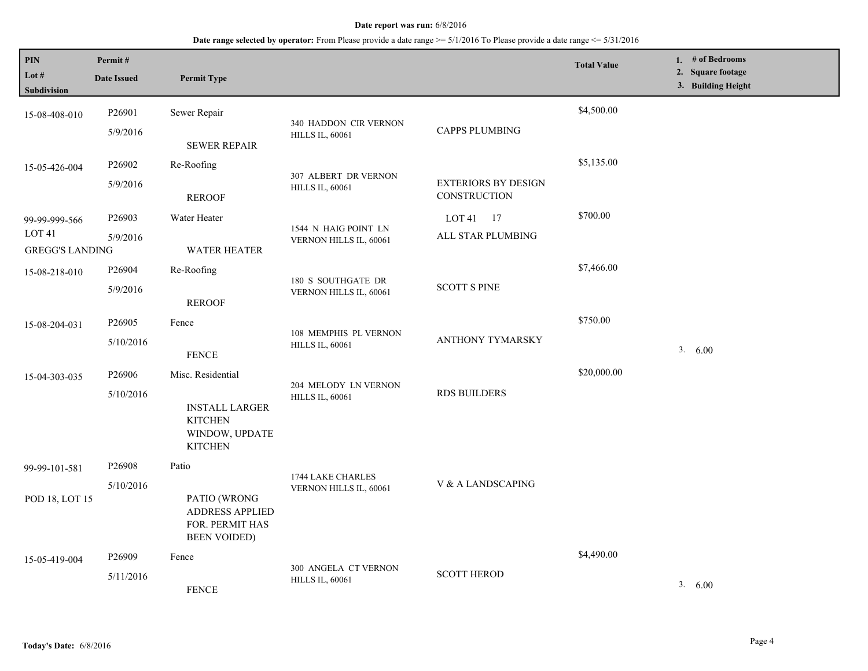| PIN<br>Lot $#$<br>Subdivision                                | Permit#<br><b>Date Issued</b>   | <b>Permit Type</b>                                                                               |                                                 |                                            | <b>Total Value</b> | 1. # of Bedrooms<br>2. Square footage<br>3. Building Height |
|--------------------------------------------------------------|---------------------------------|--------------------------------------------------------------------------------------------------|-------------------------------------------------|--------------------------------------------|--------------------|-------------------------------------------------------------|
| 15-08-408-010                                                | P26901<br>5/9/2016              | Sewer Repair<br><b>SEWER REPAIR</b>                                                              | 340 HADDON CIR VERNON<br><b>HILLS IL, 60061</b> | <b>CAPPS PLUMBING</b>                      | \$4,500.00         |                                                             |
| 15-05-426-004                                                | P26902<br>5/9/2016              | Re-Roofing<br><b>REROOF</b>                                                                      | 307 ALBERT DR VERNON<br><b>HILLS IL, 60061</b>  | <b>EXTERIORS BY DESIGN</b><br>CONSTRUCTION | \$5,135.00         |                                                             |
| 99-99-999-566<br>LOT <sub>41</sub><br><b>GREGG'S LANDING</b> | P26903<br>5/9/2016              | Water Heater<br><b>WATER HEATER</b>                                                              | 1544 N HAIG POINT LN<br>VERNON HILLS IL, 60061  | LOT $41$ 17<br>ALL STAR PLUMBING           | \$700.00           |                                                             |
| 15-08-218-010                                                | P26904<br>5/9/2016              | Re-Roofing<br><b>REROOF</b>                                                                      | 180 S SOUTHGATE DR<br>VERNON HILLS IL, 60061    | <b>SCOTT S PINE</b>                        | \$7,466.00         |                                                             |
| 15-08-204-031                                                | P <sub>26905</sub><br>5/10/2016 | Fence<br><b>FENCE</b>                                                                            | 108 MEMPHIS PL VERNON<br><b>HILLS IL, 60061</b> | <b>ANTHONY TYMARSKY</b>                    | \$750.00           | 3. 6.00                                                     |
| 15-04-303-035                                                | P26906<br>5/10/2016             | Misc. Residential<br><b>INSTALL LARGER</b><br><b>KITCHEN</b><br>WINDOW, UPDATE<br><b>KITCHEN</b> | 204 MELODY LN VERNON<br><b>HILLS IL, 60061</b>  | <b>RDS BUILDERS</b>                        | \$20,000.00        |                                                             |
| 99-99-101-581<br>POD 18, LOT 15                              | P <sub>26908</sub><br>5/10/2016 | Patio<br>PATIO (WRONG<br>ADDRESS APPLIED<br>FOR. PERMIT HAS<br><b>BEEN VOIDED)</b>               | 1744 LAKE CHARLES<br>VERNON HILLS IL, 60061     | V & A LANDSCAPING                          |                    |                                                             |
| 15-05-419-004                                                | P <sub>26909</sub><br>5/11/2016 | Fence<br><b>FENCE</b>                                                                            | 300 ANGELA CT VERNON<br><b>HILLS IL, 60061</b>  | <b>SCOTT HEROD</b>                         | \$4,490.00         | 3.600                                                       |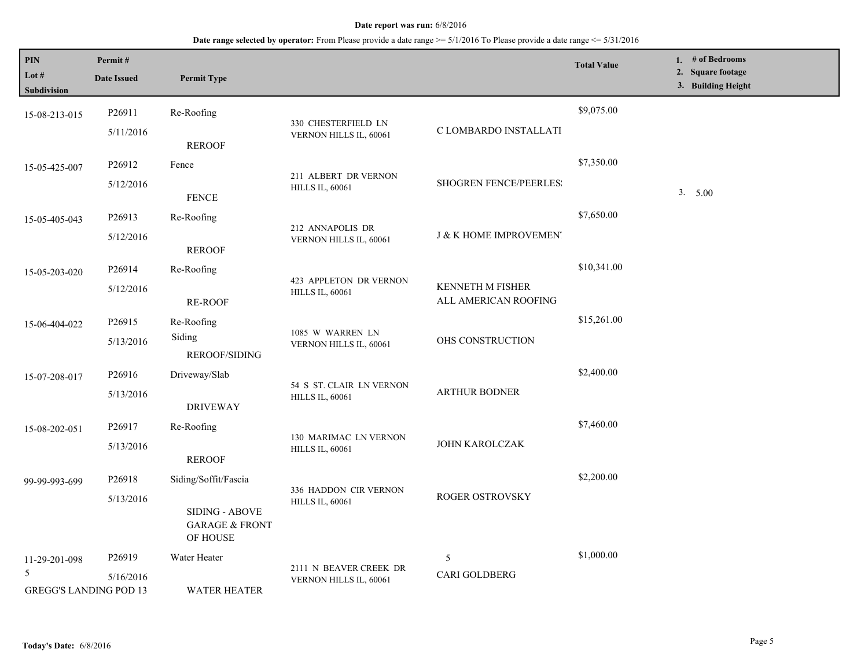| PIN<br>Lot #<br>Subdivision                     | Permit#<br><b>Date Issued</b> | <b>Permit Type</b>                                      |                                                    |                                                 | <b>Total Value</b> | 1. # of Bedrooms<br>2. Square footage<br>3. Building Height |
|-------------------------------------------------|-------------------------------|---------------------------------------------------------|----------------------------------------------------|-------------------------------------------------|--------------------|-------------------------------------------------------------|
| 15-08-213-015                                   | P26911                        | Re-Roofing                                              |                                                    |                                                 | \$9,075.00         |                                                             |
|                                                 | 5/11/2016                     | <b>REROOF</b>                                           | 330 CHESTERFIELD LN<br>VERNON HILLS IL, 60061      | C LOMBARDO INSTALLATI                           |                    |                                                             |
| 15-05-425-007                                   | P <sub>26912</sub>            | Fence                                                   |                                                    |                                                 | \$7,350.00         |                                                             |
|                                                 | 5/12/2016                     | <b>FENCE</b>                                            | 211 ALBERT DR VERNON<br><b>HILLS IL, 60061</b>     | <b>SHOGREN FENCE/PEERLES:</b>                   |                    | 3. 5.00                                                     |
| 15-05-405-043                                   | P26913                        | Re-Roofing                                              |                                                    |                                                 | \$7,650.00         |                                                             |
|                                                 | 5/12/2016                     | <b>REROOF</b>                                           | 212 ANNAPOLIS DR<br>VERNON HILLS IL, 60061         | <b>J &amp; K HOME IMPROVEMENT</b>               |                    |                                                             |
| 15-05-203-020                                   | P <sub>26914</sub>            | Re-Roofing                                              |                                                    |                                                 | \$10,341.00        |                                                             |
|                                                 | 5/12/2016                     | <b>RE-ROOF</b>                                          | 423 APPLETON DR VERNON<br><b>HILLS IL, 60061</b>   | <b>KENNETH M FISHER</b><br>ALL AMERICAN ROOFING |                    |                                                             |
| 15-06-404-022                                   | P <sub>26915</sub>            | Re-Roofing                                              |                                                    |                                                 | \$15,261.00        |                                                             |
|                                                 | 5/13/2016                     | Siding<br><b>REROOF/SIDING</b>                          | 1085 W WARREN LN<br>VERNON HILLS IL, 60061         | OHS CONSTRUCTION                                |                    |                                                             |
| 15-07-208-017                                   | P26916                        | Driveway/Slab                                           |                                                    |                                                 | \$2,400.00         |                                                             |
|                                                 | 5/13/2016                     | <b>DRIVEWAY</b>                                         | 54 S ST. CLAIR LN VERNON<br><b>HILLS IL, 60061</b> | <b>ARTHUR BODNER</b>                            |                    |                                                             |
| 15-08-202-051                                   | P <sub>26917</sub>            | Re-Roofing                                              |                                                    |                                                 | \$7,460.00         |                                                             |
|                                                 | 5/13/2016                     | <b>REROOF</b>                                           | 130 MARIMAC LN VERNON<br><b>HILLS IL, 60061</b>    | JOHN KAROLCZAK                                  |                    |                                                             |
| 99-99-993-699                                   | P26918                        | Siding/Soffit/Fascia                                    |                                                    |                                                 | \$2,200.00         |                                                             |
|                                                 | 5/13/2016                     | SIDING - ABOVE<br><b>GARAGE &amp; FRONT</b><br>OF HOUSE | 336 HADDON CIR VERNON<br><b>HILLS IL, 60061</b>    | <b>ROGER OSTROVSKY</b>                          |                    |                                                             |
| 11-29-201-098                                   | P <sub>26919</sub>            | Water Heater                                            |                                                    | 5                                               | \$1,000.00         |                                                             |
| $\mathfrak{H}$<br><b>GREGG'S LANDING POD 13</b> | 5/16/2016                     | <b>WATER HEATER</b>                                     | 2111 N BEAVER CREEK DR<br>VERNON HILLS IL, 60061   | CARI GOLDBERG                                   |                    |                                                             |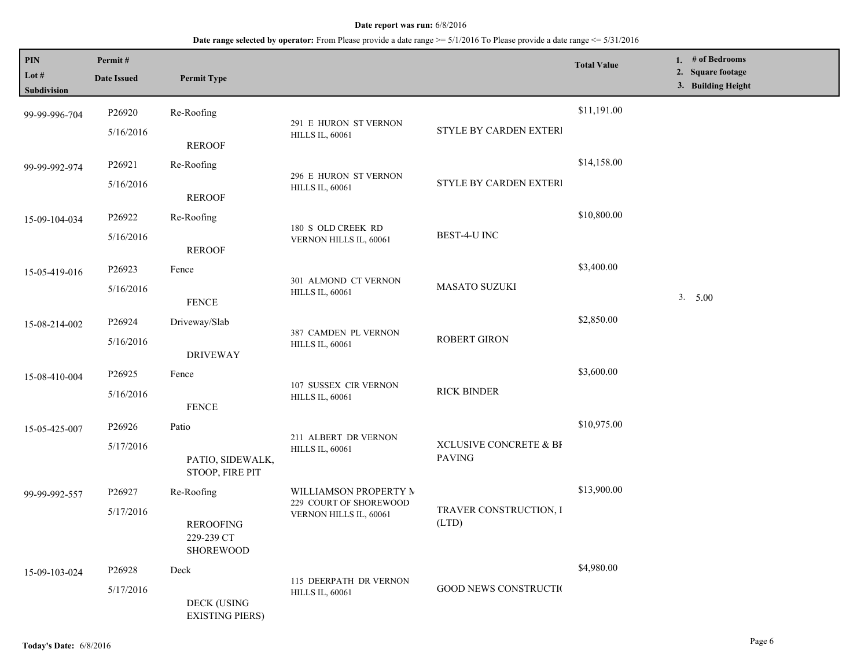| <b>PIN</b><br>Lot $#$<br>Subdivision | Permit#<br><b>Date Issued</b> | <b>Permit Type</b>                                 |                                                  |                                         | <b>Total Value</b> | 1. # of Bedrooms<br>2. Square footage<br>3. Building Height |
|--------------------------------------|-------------------------------|----------------------------------------------------|--------------------------------------------------|-----------------------------------------|--------------------|-------------------------------------------------------------|
| 99-99-996-704                        | P26920<br>5/16/2016           | Re-Roofing                                         | 291 E HURON ST VERNON<br><b>HILLS IL, 60061</b>  | STYLE BY CARDEN EXTERI                  | \$11,191.00        |                                                             |
|                                      |                               | <b>REROOF</b>                                      |                                                  |                                         |                    |                                                             |
| 99-99-992-974                        | P26921                        | Re-Roofing                                         | 296 E HURON ST VERNON                            |                                         | \$14,158.00        |                                                             |
|                                      | 5/16/2016                     | <b>REROOF</b>                                      | <b>HILLS IL, 60061</b>                           | STYLE BY CARDEN EXTERI                  |                    |                                                             |
| 15-09-104-034                        | P26922                        | Re-Roofing                                         |                                                  |                                         | \$10,800.00        |                                                             |
|                                      | 5/16/2016                     | <b>REROOF</b>                                      | 180 S OLD CREEK RD<br>VERNON HILLS IL, 60061     | BEST-4-U INC                            |                    |                                                             |
| 15-05-419-016                        | P26923                        | Fence                                              | 301 ALMOND CT VERNON                             |                                         | \$3,400.00         |                                                             |
|                                      | 5/16/2016                     | <b>FENCE</b>                                       | <b>HILLS IL, 60061</b>                           | <b>MASATO SUZUKI</b>                    |                    | 3. 5.00                                                     |
| 15-08-214-002                        | P26924                        | Driveway/Slab                                      |                                                  |                                         | \$2,850.00         |                                                             |
|                                      | 5/16/2016                     | <b>DRIVEWAY</b>                                    | 387 CAMDEN PL VERNON<br><b>HILLS IL, 60061</b>   | ROBERT GIRON                            |                    |                                                             |
| 15-08-410-004                        | P26925                        | Fence                                              |                                                  |                                         | \$3,600.00         |                                                             |
|                                      | 5/16/2016                     | <b>FENCE</b>                                       | 107 SUSSEX CIR VERNON<br><b>HILLS IL, 60061</b>  | <b>RICK BINDER</b>                      |                    |                                                             |
| 15-05-425-007                        | P26926                        | Patio                                              |                                                  |                                         | \$10,975.00        |                                                             |
|                                      | 5/17/2016                     | PATIO, SIDEWALK,<br>STOOP, FIRE PIT                | 211 ALBERT DR VERNON<br><b>HILLS IL, 60061</b>   | XCLUSIVE CONCRETE & BI<br><b>PAVING</b> |                    |                                                             |
| 99-99-992-557                        | P26927                        | Re-Roofing                                         | WILLIAMSON PROPERTY M                            |                                         | \$13,900.00        |                                                             |
|                                      | 5/17/2016                     | <b>REROOFING</b><br>229-239 CT<br><b>SHOREWOOD</b> | 229 COURT OF SHOREWOOD<br>VERNON HILLS IL, 60061 | TRAVER CONSTRUCTION, I<br>(LTD)         |                    |                                                             |
| 15-09-103-024                        | P26928                        | Deck                                               | 115 DEERPATH DR VERNON                           |                                         | \$4,980.00         |                                                             |
|                                      | 5/17/2016                     | <b>DECK (USING</b><br><b>EXISTING PIERS)</b>       | <b>HILLS IL, 60061</b>                           | <b>GOOD NEWS CONSTRUCTION</b>           |                    |                                                             |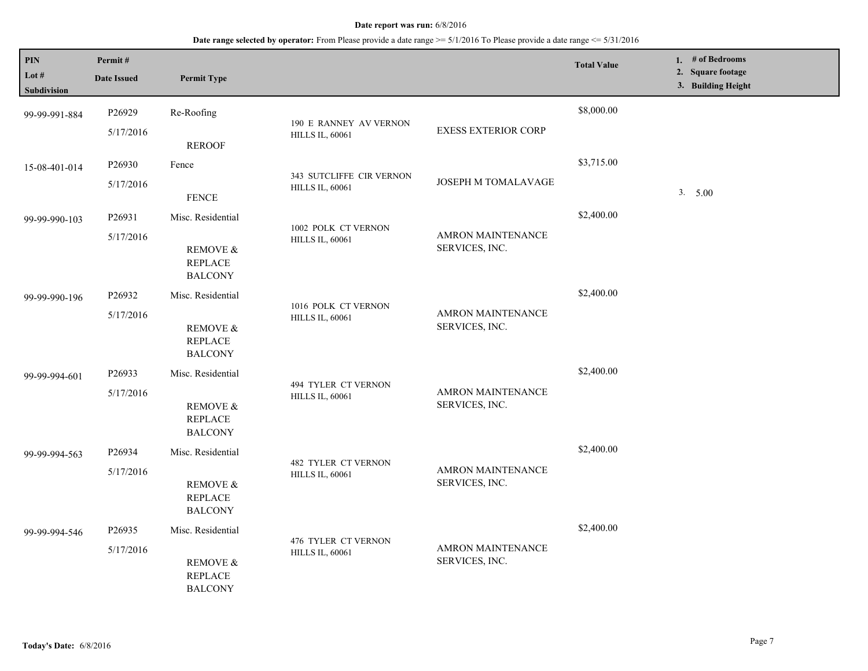| <b>PIN</b><br>Lot $#$<br>Subdivision | Permit#<br><b>Date Issued</b> | <b>Permit Type</b>                                                           |                                                      |                                            | <b>Total Value</b> | 1. $#$ of Bedrooms<br>2. Square footage<br>3. Building Height |
|--------------------------------------|-------------------------------|------------------------------------------------------------------------------|------------------------------------------------------|--------------------------------------------|--------------------|---------------------------------------------------------------|
| 99-99-991-884                        | P26929<br>5/17/2016           | Re-Roofing<br><b>REROOF</b>                                                  | 190 E RANNEY AV VERNON<br><b>HILLS IL, 60061</b>     | <b>EXESS EXTERIOR CORP</b>                 | \$8,000.00         |                                                               |
| 15-08-401-014                        | P26930<br>5/17/2016           | Fence<br><b>FENCE</b>                                                        | 343 SUTCLIFFE CIR VERNON<br><b>HILLS IL, 60061</b>   | <b>JOSEPH M TOMALAVAGE</b>                 | \$3,715.00         | 3. 5.00                                                       |
| 99-99-990-103                        | P26931<br>5/17/2016           | Misc. Residential<br>REMOVE &<br><b>REPLACE</b><br><b>BALCONY</b>            | 1002 POLK CT VERNON<br><b>HILLS IL, 60061</b>        | AMRON MAINTENANCE<br>SERVICES, INC.        | \$2,400.00         |                                                               |
| 99-99-990-196                        | P26932<br>5/17/2016           | Misc. Residential<br><b>REMOVE &amp;</b><br><b>REPLACE</b><br><b>BALCONY</b> | 1016 POLK CT VERNON<br><b>HILLS IL, 60061</b>        | <b>AMRON MAINTENANCE</b><br>SERVICES, INC. | \$2,400.00         |                                                               |
| 99-99-994-601                        | P26933<br>5/17/2016           | Misc. Residential<br>REMOVE &<br><b>REPLACE</b><br><b>BALCONY</b>            | 494 TYLER CT VERNON<br><b>HILLS IL, 60061</b>        | AMRON MAINTENANCE<br>SERVICES, INC.        | \$2,400.00         |                                                               |
| 99-99-994-563                        | P26934<br>5/17/2016           | Misc. Residential<br>REMOVE &<br><b>REPLACE</b><br><b>BALCONY</b>            | <b>482 TYLER CT VERNON</b><br><b>HILLS IL, 60061</b> | AMRON MAINTENANCE<br>SERVICES, INC.        | \$2,400.00         |                                                               |
| 99-99-994-546                        | P26935<br>5/17/2016           | Misc. Residential<br>REMOVE &<br><b>REPLACE</b><br><b>BALCONY</b>            | 476 TYLER CT VERNON<br><b>HILLS IL, 60061</b>        | <b>AMRON MAINTENANCE</b><br>SERVICES, INC. | \$2,400.00         |                                                               |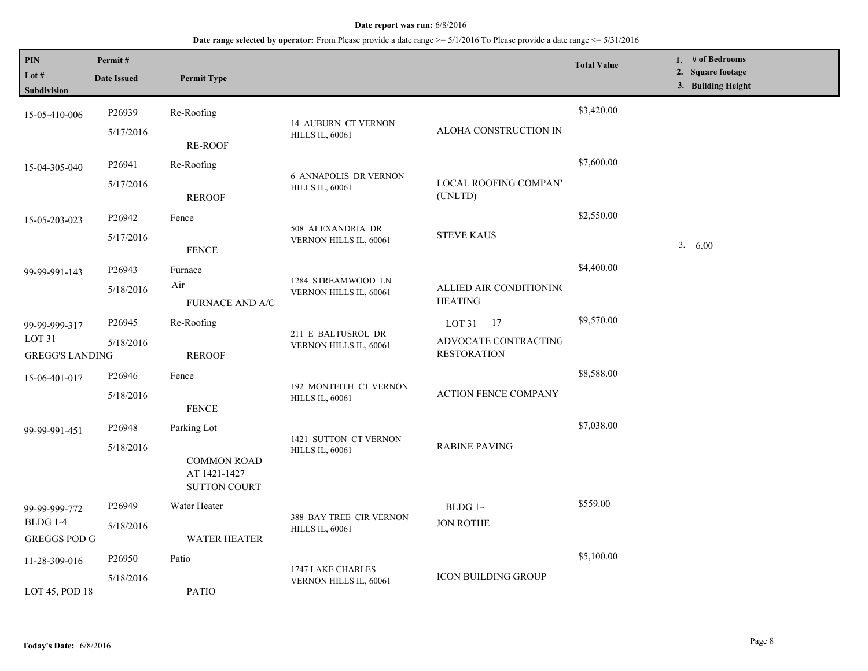| PIN<br>Lot $#$<br>Subdivision                                | Permit#<br><b>Date Issued</b>   | <b>Permit Type</b>                                                       |                                                        |                                                         | <b>Total Value</b> | 1. $#$ of Bedrooms<br>2. Square footage<br>3. Building Height |
|--------------------------------------------------------------|---------------------------------|--------------------------------------------------------------------------|--------------------------------------------------------|---------------------------------------------------------|--------------------|---------------------------------------------------------------|
| 15-05-410-006                                                | P26939<br>5/17/2016             | Re-Roofing                                                               | <b>14 AUBURN CT VERNON</b><br><b>HILLS IL, 60061</b>   | ALOHA CONSTRUCTION IN                                   | \$3,420.00         |                                                               |
| 15-04-305-040                                                | P26941<br>5/17/2016             | <b>RE-ROOF</b><br>Re-Roofing                                             | <b>6 ANNAPOLIS DR VERNON</b><br><b>HILLS IL, 60061</b> | <b>LOCAL ROOFING COMPAN'</b>                            | \$7,600.00         |                                                               |
| 15-05-203-023                                                | P26942<br>5/17/2016             | <b>REROOF</b><br>Fence                                                   | 508 ALEXANDRIA DR<br>VERNON HILLS IL, 60061            | (UNLTD)<br><b>STEVE KAUS</b>                            | \$2,550.00         | 3. 6.00                                                       |
| 99-99-991-143                                                | P26943<br>5/18/2016             | <b>FENCE</b><br>Furnace<br>Air<br><b>FURNACE AND A/C</b>                 | 1284 STREAMWOOD LN<br>VERNON HILLS IL, 60061           | ALLIED AIR CONDITIONING<br><b>HEATING</b>               | \$4,400.00         |                                                               |
| 99-99-999-317<br>LOT <sub>31</sub><br><b>GREGG'S LANDING</b> | P26945<br>5/18/2016             | Re-Roofing<br><b>REROOF</b>                                              | 211 E BALTUSROL DR<br>VERNON HILLS IL, 60061           | LOT 31 17<br>ADVOCATE CONTRACTING<br><b>RESTORATION</b> | \$9,570.00         |                                                               |
| 15-06-401-017                                                | P <sub>26946</sub><br>5/18/2016 | Fence<br><b>FENCE</b>                                                    | 192 MONTEITH CT VERNON<br><b>HILLS IL, 60061</b>       | <b>ACTION FENCE COMPANY</b>                             | \$8,588.00         |                                                               |
| 99-99-991-451                                                | P26948<br>5/18/2016             | Parking Lot<br><b>COMMON ROAD</b><br>AT 1421-1427<br><b>SUTTON COURT</b> | 1421 SUTTON CT VERNON<br><b>HILLS IL, 60061</b>        | <b>RABINE PAVING</b>                                    | \$7,038.00         |                                                               |
| 99-99-999-772<br>BLDG 1-4<br><b>GREGGS POD G</b>             | P26949<br>5/18/2016             | Water Heater<br><b>WATER HEATER</b>                                      | 388 BAY TREE CIR VERNON<br><b>HILLS IL, 60061</b>      | BLDG 1-<br><b>JON ROTHE</b>                             | \$559.00           |                                                               |
| 11-28-309-016<br>LOT 45, POD 18                              | P26950<br>5/18/2016             | Patio<br><b>PATIO</b>                                                    | 1747 LAKE CHARLES<br>VERNON HILLS IL, 60061            | <b>ICON BUILDING GROUP</b>                              | \$5,100.00         |                                                               |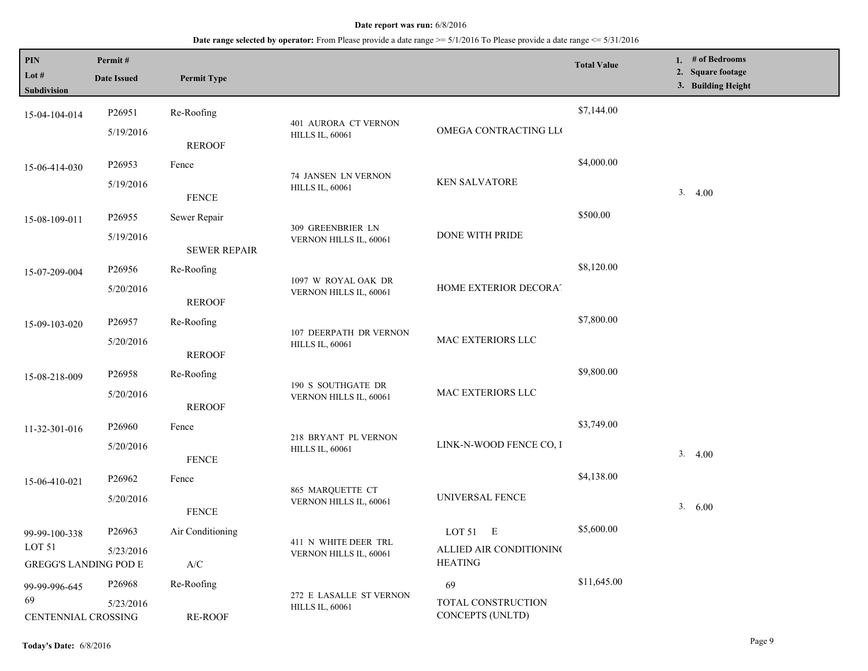| <b>PIN</b><br>Lot $#$<br><b>Subdivision</b>                        | Permit#<br><b>Date Issued</b>   | <b>Permit Type</b>                                                                  |                                                   |                                                         | <b>Total Value</b> | 1. # of Bedrooms<br>2. Square footage<br>3. Building Height |
|--------------------------------------------------------------------|---------------------------------|-------------------------------------------------------------------------------------|---------------------------------------------------|---------------------------------------------------------|--------------------|-------------------------------------------------------------|
| 15-04-104-014                                                      | P <sub>26951</sub><br>5/19/2016 | Re-Roofing                                                                          | 401 AURORA CT VERNON<br><b>HILLS IL, 60061</b>    | OMEGA CONTRACTING LLO                                   | \$7,144.00         |                                                             |
| 15-06-414-030                                                      | P <sub>26953</sub><br>5/19/2016 | <b>REROOF</b><br>Fence                                                              | 74 JANSEN LN VERNON<br><b>HILLS IL, 60061</b>     | <b>KEN SALVATORE</b>                                    | \$4,000.00         | 3.4.00                                                      |
| 15-08-109-011                                                      | P <sub>26955</sub><br>5/19/2016 | <b>FENCE</b><br>Sewer Repair                                                        | 309 GREENBRIER LN<br>VERNON HILLS IL, 60061       | DONE WITH PRIDE                                         | \$500.00           |                                                             |
| 15-07-209-004                                                      | P26956<br>5/20/2016             | <b>SEWER REPAIR</b><br>Re-Roofing                                                   | 1097 W ROYAL OAK DR                               | HOME EXTERIOR DECORAT                                   | \$8,120.00         |                                                             |
| 15-09-103-020                                                      | P26957                          | <b>REROOF</b><br>Re-Roofing                                                         | VERNON HILLS IL, 60061<br>107 DEERPATH DR VERNON  | MAC EXTERIORS LLC                                       | \$7,800.00         |                                                             |
| 15-08-218-009                                                      | 5/20/2016<br>P26958             | <b>REROOF</b><br>Re-Roofing                                                         | <b>HILLS IL, 60061</b><br>190 S SOUTHGATE DR      |                                                         | \$9,800.00         |                                                             |
| 11-32-301-016                                                      | 5/20/2016<br>P26960             | <b>REROOF</b><br>Fence                                                              | VERNON HILLS IL, 60061                            | MAC EXTERIORS LLC                                       | \$3,749.00         |                                                             |
|                                                                    | 5/20/2016<br>P26962             | <b>FENCE</b><br>Fence                                                               | 218 BRYANT PL VERNON<br><b>HILLS IL, 60061</b>    | LINK-N-WOOD FENCE CO, I                                 | \$4,138.00         | 3.<br>4.00                                                  |
| 15-06-410-021                                                      | 5/20/2016                       | <b>FENCE</b>                                                                        | 865 MARQUETTE CT<br>VERNON HILLS IL, 60061        | UNIVERSAL FENCE                                         |                    | 3. 6.00                                                     |
| 99-99-100-338<br>LOT <sub>51</sub><br><b>GREGG'S LANDING POD E</b> | P <sub>26963</sub><br>5/23/2016 | Air Conditioning<br>$\ensuremath{\mathsf{A}}\xspace/\ensuremath{\mathsf{C}}\xspace$ | 411 N WHITE DEER TRL<br>VERNON HILLS IL, 60061    | LOT $51$ E<br>ALLIED AIR CONDITIONING<br><b>HEATING</b> | \$5,600.00         |                                                             |
| 99-99-996-645<br>69<br>CENTENNIAL CROSSING                         | P26968<br>5/23/2016             | Re-Roofing<br>RE-ROOF                                                               | 272 E LASALLE ST VERNON<br><b>HILLS IL, 60061</b> | 69<br>TOTAL CONSTRUCTION<br>CONCEPTS (UNLTD)            | \$11,645.00        |                                                             |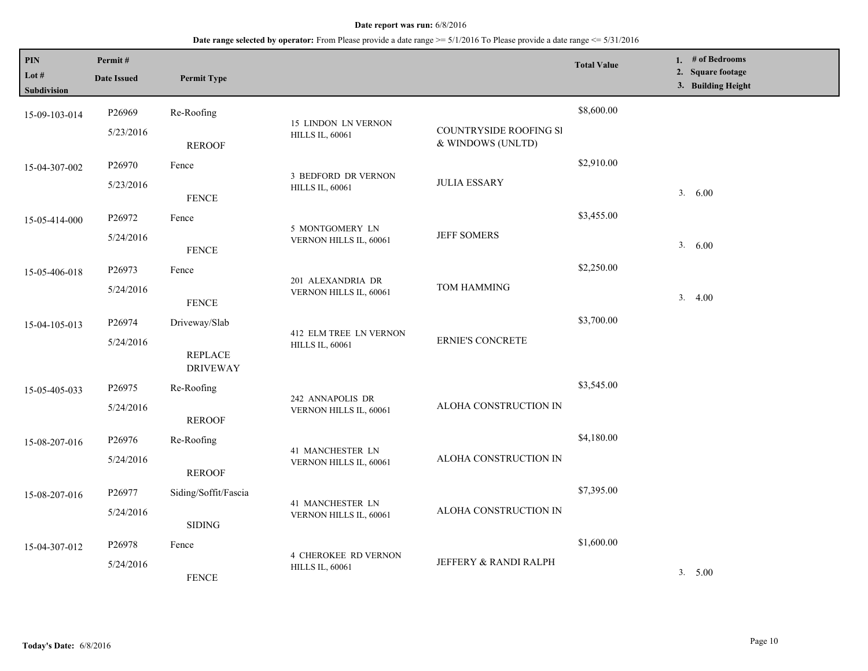| PIN<br>Lot #<br>Subdivision | Permit#<br><b>Date Issued</b>   | <b>Permit Type</b>                                 |                                                       |                                             | <b>Total Value</b> | 1. # of Bedrooms<br>2. Square footage<br>3. Building Height |
|-----------------------------|---------------------------------|----------------------------------------------------|-------------------------------------------------------|---------------------------------------------|--------------------|-------------------------------------------------------------|
| 15-09-103-014               | P26969<br>5/23/2016             | Re-Roofing<br><b>REROOF</b>                        | 15 LINDON LN VERNON<br><b>HILLS IL, 60061</b>         | COUNTRYSIDE ROOFING SI<br>& WINDOWS (UNLTD) | \$8,600.00         |                                                             |
| 15-04-307-002               | P26970<br>5/23/2016             | Fence<br><b>FENCE</b>                              | 3 BEDFORD DR VERNON<br><b>HILLS IL, 60061</b>         | <b>JULIA ESSARY</b>                         | \$2,910.00         | 3. 6.00                                                     |
| 15-05-414-000               | P26972<br>5/24/2016             | Fence<br><b>FENCE</b>                              | 5 MONTGOMERY LN<br>VERNON HILLS IL, 60061             | <b>JEFF SOMERS</b>                          | \$3,455.00         | 3.<br>6.00                                                  |
| 15-05-406-018               | P26973<br>5/24/2016             | Fence<br>${\tt FENCE}$                             | 201 ALEXANDRIA DR<br>VERNON HILLS IL, 60061           | <b>TOM HAMMING</b>                          | \$2,250.00         | 3.4.00                                                      |
| 15-04-105-013               | P26974<br>5/24/2016             | Driveway/Slab<br><b>REPLACE</b><br><b>DRIVEWAY</b> | 412 ELM TREE LN VERNON<br><b>HILLS IL, 60061</b>      | <b>ERNIE'S CONCRETE</b>                     | \$3,700.00         |                                                             |
| 15-05-405-033               | P26975<br>5/24/2016             | Re-Roofing<br><b>REROOF</b>                        | 242 ANNAPOLIS DR<br>VERNON HILLS IL, 60061            | ALOHA CONSTRUCTION IN                       | \$3,545.00         |                                                             |
| 15-08-207-016               | P26976<br>5/24/2016             | Re-Roofing<br><b>REROOF</b>                        | 41 MANCHESTER LN<br>VERNON HILLS IL, 60061            | ALOHA CONSTRUCTION IN                       | \$4,180.00         |                                                             |
| 15-08-207-016               | P26977<br>5/24/2016             | Siding/Soffit/Fascia<br><b>SIDING</b>              | 41 MANCHESTER LN<br>VERNON HILLS IL, 60061            | ALOHA CONSTRUCTION IN                       | \$7,395.00         |                                                             |
| 15-04-307-012               | P <sub>26978</sub><br>5/24/2016 | Fence<br><b>FENCE</b>                              | <b>4 CHEROKEE RD VERNON</b><br><b>HILLS IL, 60061</b> | JEFFERY & RANDI RALPH                       | \$1,600.00         | 3. 5.00                                                     |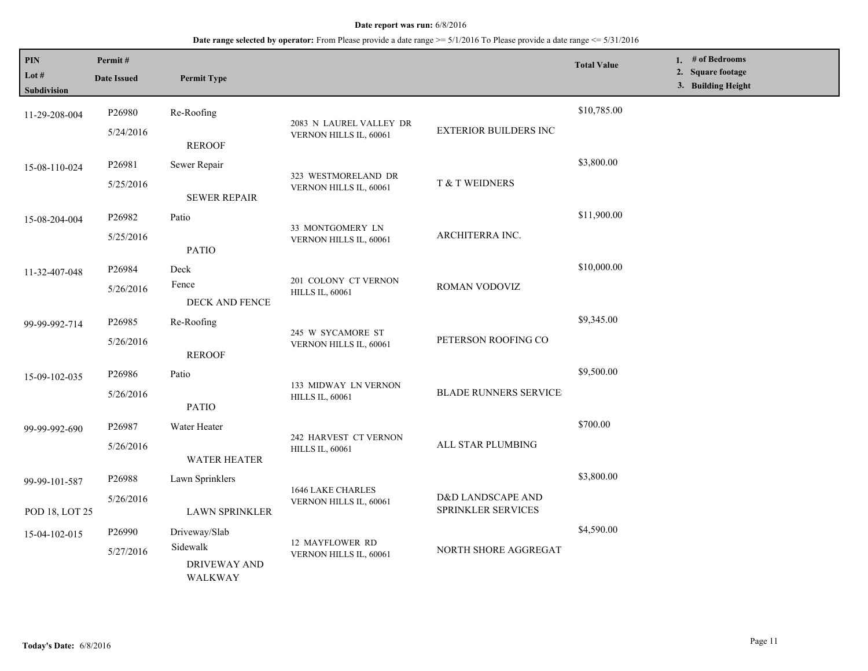| PIN<br>Lot #<br><b>Subdivision</b> | Permit#<br><b>Date Issued</b> | <b>Permit Type</b>             |                                                |                                         | <b>Total Value</b> | 1. # of Bedrooms<br>2. Square footage<br>3. Building Height |
|------------------------------------|-------------------------------|--------------------------------|------------------------------------------------|-----------------------------------------|--------------------|-------------------------------------------------------------|
| 11-29-208-004                      | P26980                        | Re-Roofing                     | 2083 N LAUREL VALLEY DR                        | EXTERIOR BUILDERS INC                   | \$10,785.00        |                                                             |
|                                    | 5/24/2016                     | <b>REROOF</b>                  | VERNON HILLS IL, 60061                         |                                         |                    |                                                             |
| 15-08-110-024                      | P26981                        | Sewer Repair                   | 323 WESTMORELAND DR                            |                                         | \$3,800.00         |                                                             |
|                                    | 5/25/2016                     | <b>SEWER REPAIR</b>            | VERNON HILLS IL, 60061                         | T & T WEIDNERS                          |                    |                                                             |
| 15-08-204-004                      | P26982                        | Patio                          | 33 MONTGOMERY LN                               |                                         | \$11,900.00        |                                                             |
|                                    | 5/25/2016                     | <b>PATIO</b>                   | VERNON HILLS IL, 60061                         | ARCHITERRA INC.                         |                    |                                                             |
| 11-32-407-048                      | P26984                        | Deck                           | 201 COLONY CT VERNON                           |                                         | \$10,000.00        |                                                             |
|                                    | 5/26/2016                     | Fence<br>DECK AND FENCE        | <b>HILLS IL, 60061</b>                         | ROMAN VODOVIZ                           |                    |                                                             |
| 99-99-992-714                      | P26985                        | Re-Roofing                     |                                                |                                         | \$9,345.00         |                                                             |
|                                    | 5/26/2016                     | <b>REROOF</b>                  | 245 W SYCAMORE ST<br>VERNON HILLS IL, 60061    | PETERSON ROOFING CO                     |                    |                                                             |
| 15-09-102-035                      | P26986                        | Patio                          |                                                |                                         | \$9,500.00         |                                                             |
|                                    | 5/26/2016                     | <b>PATIO</b>                   | 133 MIDWAY LN VERNON<br><b>HILLS IL, 60061</b> | <b>BLADE RUNNERS SERVICE</b>            |                    |                                                             |
| 99-99-992-690                      | P26987                        | Water Heater                   | 242 HARVEST CT VERNON                          |                                         | \$700.00           |                                                             |
|                                    | 5/26/2016                     | <b>WATER HEATER</b>            | <b>HILLS IL, 60061</b>                         | ALL STAR PLUMBING                       |                    |                                                             |
| 99-99-101-587                      | P26988                        | Lawn Sprinklers                | 1646 LAKE CHARLES                              |                                         | \$3,800.00         |                                                             |
| POD 18, LOT 25                     | 5/26/2016                     | <b>LAWN SPRINKLER</b>          | VERNON HILLS IL, 60061                         | D&D LANDSCAPE AND<br>SPRINKLER SERVICES |                    |                                                             |
| 15-04-102-015                      | P26990                        | Driveway/Slab                  |                                                |                                         | \$4,590.00         |                                                             |
|                                    | Sidewalk<br>5/27/2016         | <b>DRIVEWAY AND</b><br>WALKWAY | 12 MAYFLOWER RD<br>VERNON HILLS IL, 60061      | NORTH SHORE AGGREGAT                    |                    |                                                             |